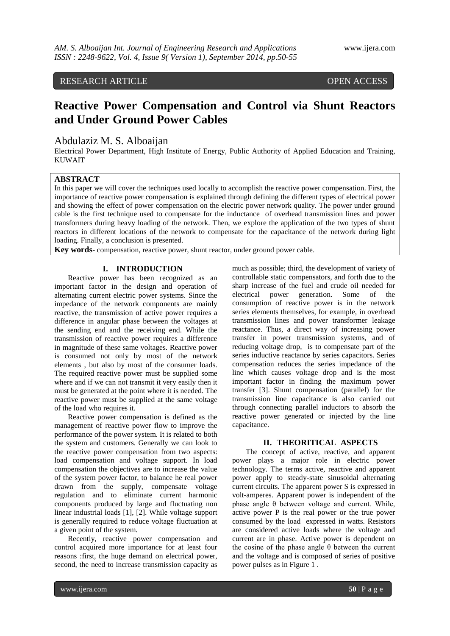RESEARCH ARTICLE OPEN ACCESS

# **Reactive Power Compensation and Control via Shunt Reactors and Under Ground Power Cables**

## Abdulaziz M. S. Alboaijan

Electrical Power Department, High Institute of Energy, Public Authority of Applied Education and Training, KUWAIT

# **ABSTRACT**

In this paper we will cover the techniques used locally to accomplish the reactive power compensation. First, the importance of reactive power compensation is explained through defining the different types of electrical power and showing the effect of power compensation on the electric power network quality. The power under ground cable is the first technique used to compensate for the inductance of overhead transmission lines and power transformers during heavy loading of the network. Then, we explore the application of the two types of shunt reactors in different locations of the network to compensate for the capacitance of the network during light loading. Finally, a conclusion is presented.

**Key words**- compensation, reactive power, shunt reactor, under ground power cable.

#### **I. INTRODUCTION**

Reactive power has been recognized as an important factor in the design and operation of alternating current electric power systems. Since the impedance of the network components are mainly reactive, the transmission of active power requires a difference in angular phase between the voltages at the sending end and the receiving end. While the transmission of reactive power requires a difference in magnitude of these same voltages. Reactive power is consumed not only by most of the network elements , but also by most of the consumer loads. The required reactive power must be supplied some where and if we can not transmit it very easily then it must be generated at the point where it is needed. The reactive power must be supplied at the same voltage of the load who requires it.

Reactive power compensation is defined as the management of reactive power flow to improve the performance of the power system. It is related to both the system and customers. Generally we can look to the reactive power compensation from two aspects: load compensation and voltage support. In load compensation the objectives are to increase the value of the system power factor, to balance he real power drawn from the supply, compensate voltage regulation and to eliminate current harmonic components produced by large and fluctuating non linear industrial loads [1], [2]. While voltage support is generally required to reduce voltage fluctuation at a given point of the system.

Recently, reactive power compensation and control acquired more importance for at least four reasons :first, the huge demand on electrical power, second, the need to increase transmission capacity as much as possible; third, the development of variety of controllable static compensators, and forth due to the sharp increase of the fuel and crude oil needed for electrical power generation. Some of the consumption of reactive power is in the network series elements themselves, for example, in overhead transmission lines and power transformer leakage reactance. Thus, a direct way of increasing power transfer in power transmission systems, and of reducing voltage drop, is to compensate part of the series inductive reactance by series capacitors. Series compensation reduces the series impedance of the line which causes voltage drop and is the most important factor in finding the maximum power transfer [3]. Shunt compensation (parallel) for the transmission line capacitance is also carried out through connecting parallel inductors to absorb the reactive power generated or injected by the line capacitance.

#### **II. THEORITICAL ASPECTS**

The concept of active, reactive, and apparent power plays a major role in electric power technology. The terms active, reactive and apparent power apply to steady-state sinusoidal alternating current circuits. The apparent power S is expressed in volt-amperes. Apparent power is independent of the phase angle θ between voltage and current. While, active power P is the real power or the true power consumed by the load expressed in watts. Resistors are considered active loads where the voltage and current are in phase. Active power is dependent on the cosine of the phase angle  $θ$  between the current and the voltage and is composed of series of positive power pulses as in Figure 1 .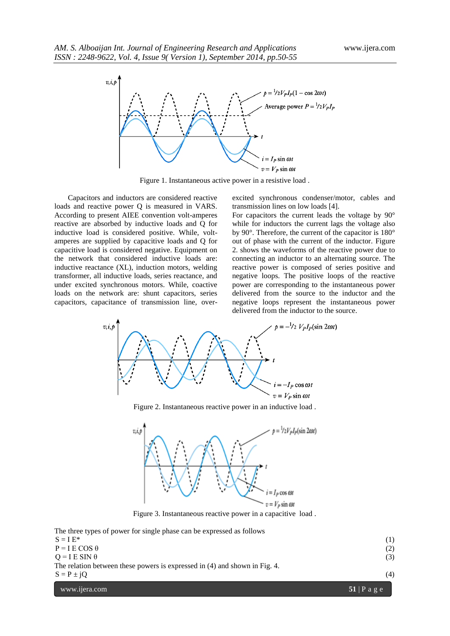

Figure 1. Instantaneous active power in a resistive load .

Capacitors and inductors are considered reactive loads and reactive power Q is measured in VARS. According to present AIEE convention volt-amperes reactive are absorbed by inductive loads and Q for inductive load is considered positive. While, voltamperes are supplied by capacitive loads and Q for capacitive load is considered negative. Equipment on the network that considered inductive loads are: inductive reactance (XL), induction motors, welding transformer, all inductive loads, series reactance, and under excited synchronous motors. While, coactive loads on the network are: shunt capacitors, series capacitors, capacitance of transmission line, overexcited synchronous condenser/motor, cables and transmission lines on low loads [4].

For capacitors the current leads the voltage by 90° while for inductors the current lags the voltage also by 90°. Therefore, the current of the capacitor is 180° out of phase with the current of the inductor. Figure 2. shows the waveforms of the reactive power due to connecting an inductor to an alternating source. The reactive power is composed of series positive and negative loops. The positive loops of the reactive power are corresponding to the instantaneous power delivered from the source to the inductor and the negative loops represent the instantaneous power delivered from the inductor to the source.



Figure 2. Instantaneous reactive power in an inductive load .



Figure 3. Instantaneous reactive power in a capacitive load .

www.ijera.com **51** | P a g e The three types of power for single phase can be expressed as follows  $S = I E^*$  (1)  $P = I E COS \theta$  (2)  $Q = I E SIN \theta$  (3) The relation between these powers is expressed in (4) and shown in Fig. 4.  $S = P \pm jQ$  (4)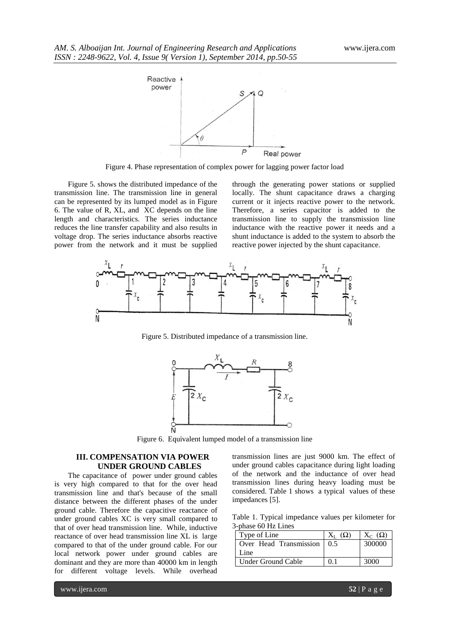

Figure 4. Phase representation of complex power for lagging power factor load

Figure 5. shows the distributed impedance of the transmission line. The transmission line in general can be represented by its lumped model as in Figure 6. The value of R, XL, and XC depends on the line length and characteristics. The series inductance reduces the line transfer capability and also results in voltage drop. The series inductance absorbs reactive power from the network and it must be supplied

through the generating power stations or supplied locally. The shunt capacitance draws a charging current or it injects reactive power to the network. Therefore, a series capacitor is added to the transmission line to supply the transmission line inductance with the reactive power it needs and a shunt inductance is added to the system to absorb the reactive power injected by the shunt capacitance.



Figure 5. Distributed impedance of a transmission line.



Figure 6. Equivalent lumped model of a transmission line

## **III. COMPENSATION VIA POWER UNDER GROUND CABLES**

The capacitance of power under ground cables is very high compared to that for the over head transmission line and that's because of the small distance between the different phases of the under ground cable. Therefore the capacitive reactance of under ground cables XC is very small compared to that of over head transmission line. While, inductive reactance of over head transmission line XL is large compared to that of the under ground cable. For our local network power under ground cables are dominant and they are more than 40000 km in length for different voltage levels. While overhead

transmission lines are just 9000 km. The effect of under ground cables capacitance during light loading of the network and the inductance of over head transmission lines during heavy loading must be considered. Table 1 shows a typical values of these impedances [5].

Table 1. Typical impedance values per kilometer for 3-phase 60 Hz Lines

| Type of Line                 |    | $X_C(\Omega)$ |
|------------------------------|----|---------------|
| Over Head Transmission   0.5 |    | 300000        |
| Line                         |    |               |
| Under Ground Cable           | 01 | 3000          |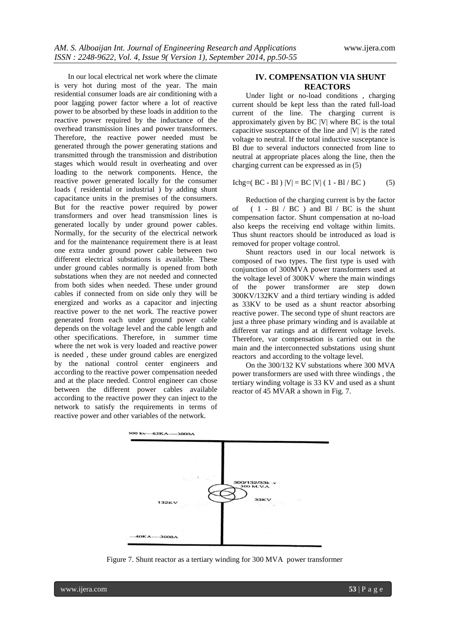In our local electrical net work where the climate is very hot during most of the year. The main residential consumer loads are air conditioning with a poor lagging power factor where a lot of reactive power to be absorbed by these loads in addition to the reactive power required by the inductance of the overhead transmission lines and power transformers. Therefore, the reactive power needed must be generated through the power generating stations and transmitted through the transmission and distribution stages which would result in overheating and over loading to the network components. Hence, the reactive power generated locally for the consumer loads ( residential or industrial ) by adding shunt capacitance units in the premises of the consumers. But for the reactive power required by power transformers and over head transmission lines is generated locally by under ground power cables. Normally, for the security of the electrical network and for the maintenance requirement there is at least one extra under ground power cable between two different electrical substations is available. These under ground cables normally is opened from both substations when they are not needed and connected from both sides when needed. These under ground cables if connected from on side only they will be energized and works as a capacitor and injecting reactive power to the net work. The reactive power generated from each under ground power cable depends on the voltage level and the cable length and other specifications. Therefore, in summer time where the net wok is very loaded and reactive power is needed , these under ground cables are energized by the national control center engineers and according to the reactive power compensation needed and at the place needed. Control engineer can chose between the different power cables available according to the reactive power they can inject to the network to satisfy the requirements in terms of reactive power and other variables of the network.

## **IV. COMPENSATION VIA SHUNT REACTORS**

Under light or no-load conditions , charging current should be kept less than the rated full-load current of the line. The charging current is approximately given by BC |V| where BC is the total capacitive susceptance of the line and |V| is the rated voltage to neutral. If the total inductive susceptance is Bl due to several inductors connected from line to neutral at appropriate places along the line, then the charging current can be expressed as in (5)

$$
Ichg = (BC - B1) |V| = BC |V| (1 - B1 / BC)
$$
 (5)

Reduction of the charging current is by the factor of  $( 1 - Bl / BC )$  and  $Bl / BC$  is the shunt compensation factor. Shunt compensation at no-load also keeps the receiving end voltage within limits. Thus shunt reactors should be introduced as load is removed for proper voltage control.

Shunt reactors used in our local network is composed of two types. The first type is used with conjunction of 300MVA power transformers used at the voltage level of 300KV where the main windings of the power transformer are step down 300KV/132KV and a third tertiary winding is added as 33KV to be used as a shunt reactor absorbing reactive power. The second type of shunt reactors are just a three phase primary winding and is available at different var ratings and at different voltage levels. Therefore, var compensation is carried out in the main and the interconnected substations using shunt reactors and according to the voltage level.

On the 300/132 KV substations where 300 MVA power transformers are used with three windings , the tertiary winding voltage is 33 KV and used as a shunt reactor of 45 MVAR a shown in Fig. 7.



Figure 7. Shunt reactor as a tertiary winding for 300 MVA power transformer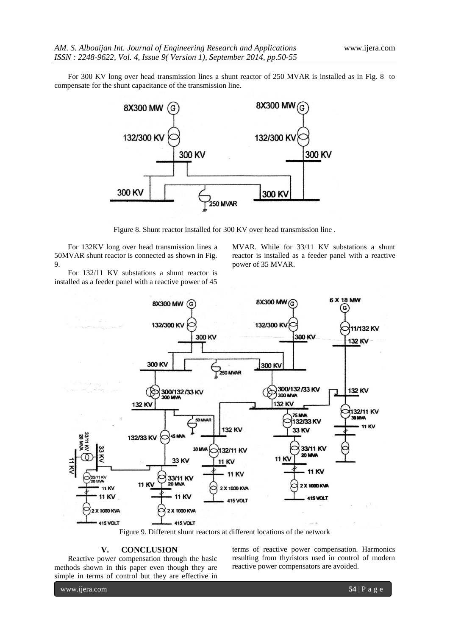For 300 KV long over head transmission lines a shunt reactor of 250 MVAR is installed as in Fig. 8 to compensate for the shunt capacitance of the transmission line.



Figure 8. Shunt reactor installed for 300 KV over head transmission line .

For 132KV long over head transmission lines a 50MVAR shunt reactor is connected as shown in Fig. 9.

For 132/11 KV substations a shunt reactor is installed as a feeder panel with a reactive power of 45

MVAR. While for 33/11 KV substations a shunt reactor is installed as a feeder panel with a reactive power of 35 MVAR.





#### **V. CONCLUSION**

Reactive power compensation through the basic methods shown in this paper even though they are simple in terms of control but they are effective in terms of reactive power compensation. Harmonics resulting from thyristors used in control of modern reactive power compensators are avoided.